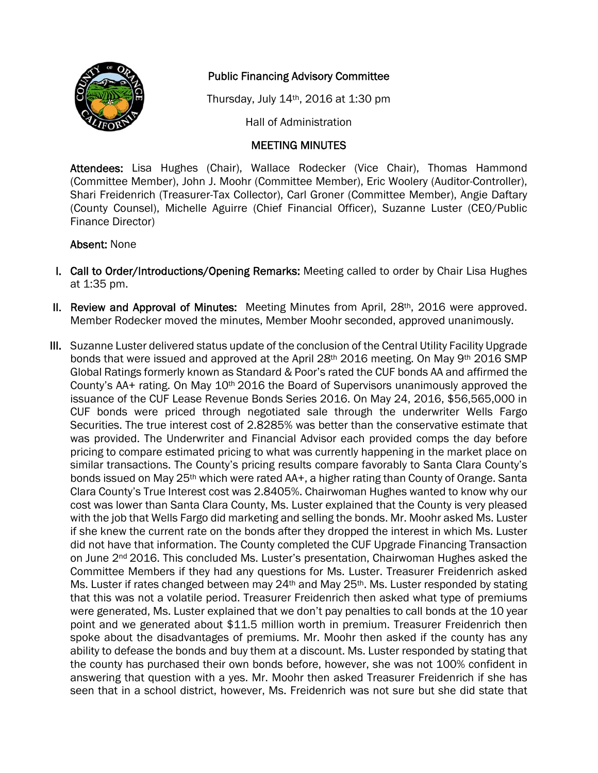

# Public Financing Advisory Committee

Thursday, July 14th, 2016 at 1:30 pm

Hall of Administration

# MEETING MINUTES

Attendees: Lisa Hughes (Chair), Wallace Rodecker (Vice Chair), Thomas Hammond (Committee Member), John J. Moohr (Committee Member), Eric Woolery (Auditor-Controller), Shari Freidenrich (Treasurer-Tax Collector), Carl Groner (Committee Member), Angie Daftary (County Counsel), Michelle Aguirre (Chief Financial Officer), Suzanne Luster (CEO/Public Finance Director)

Absent: None

- I. Call to Order/Introductions/Opening Remarks: Meeting called to order by Chair Lisa Hughes at 1:35 pm.
- II. Review and Approval of Minutes: Meeting Minutes from April,  $28<sup>th</sup>$ ,  $2016$  were approved. Member Rodecker moved the minutes, Member Moohr seconded, approved unanimously.
- III. Suzanne Luster delivered status update of the conclusion of the Central Utility Facility Upgrade bonds that were issued and approved at the April 28th 2016 meeting. On May 9th 2016 SMP Global Ratings formerly known as Standard & Poor's rated the CUF bonds AA and affirmed the County's AA+ rating. On May 10th 2016 the Board of Supervisors unanimously approved the issuance of the CUF Lease Revenue Bonds Series 2016. On May 24, 2016, \$56,565,000 in CUF bonds were priced through negotiated sale through the underwriter Wells Fargo Securities. The true interest cost of 2.8285% was better than the conservative estimate that was provided. The Underwriter and Financial Advisor each provided comps the day before pricing to compare estimated pricing to what was currently happening in the market place on similar transactions. The County's pricing results compare favorably to Santa Clara County's bonds issued on May 25<sup>th</sup> which were rated AA+, a higher rating than County of Orange. Santa Clara County's True Interest cost was 2.8405%. Chairwoman Hughes wanted to know why our cost was lower than Santa Clara County, Ms. Luster explained that the County is very pleased with the job that Wells Fargo did marketing and selling the bonds. Mr. Moohr asked Ms. Luster if she knew the current rate on the bonds after they dropped the interest in which Ms. Luster did not have that information. The County completed the CUF Upgrade Financing Transaction on June 2nd 2016. This concluded Ms. Luster's presentation, Chairwoman Hughes asked the Committee Members if they had any questions for Ms. Luster. Treasurer Freidenrich asked Ms. Luster if rates changed between may 24<sup>th</sup> and May 25<sup>th</sup>. Ms. Luster responded by stating that this was not a volatile period. Treasurer Freidenrich then asked what type of premiums were generated, Ms. Luster explained that we don't pay penalties to call bonds at the 10 year point and we generated about \$11.5 million worth in premium. Treasurer Freidenrich then spoke about the disadvantages of premiums. Mr. Moohr then asked if the county has any ability to defease the bonds and buy them at a discount. Ms. Luster responded by stating that the county has purchased their own bonds before, however, she was not 100% confident in answering that question with a yes. Mr. Moohr then asked Treasurer Freidenrich if she has seen that in a school district, however, Ms. Freidenrich was not sure but she did state that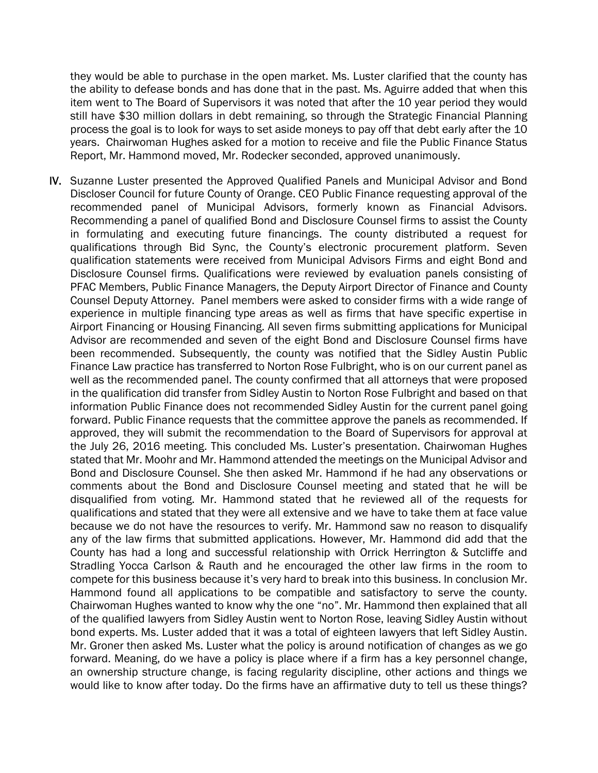they would be able to purchase in the open market. Ms. Luster clarified that the county has the ability to defease bonds and has done that in the past. Ms. Aguirre added that when this item went to The Board of Supervisors it was noted that after the 10 year period they would still have \$30 million dollars in debt remaining, so through the Strategic Financial Planning process the goal is to look for ways to set aside moneys to pay off that debt early after the 10 years. Chairwoman Hughes asked for a motion to receive and file the Public Finance Status Report, Mr. Hammond moved, Mr. Rodecker seconded, approved unanimously.

IV. Suzanne Luster presented the Approved Qualified Panels and Municipal Advisor and Bond Discloser Council for future County of Orange. CEO Public Finance requesting approval of the recommended panel of Municipal Advisors, formerly known as Financial Advisors. Recommending a panel of qualified Bond and Disclosure Counsel firms to assist the County in formulating and executing future financings. The county distributed a request for qualifications through Bid Sync, the County's electronic procurement platform. Seven qualification statements were received from Municipal Advisors Firms and eight Bond and Disclosure Counsel firms. Qualifications were reviewed by evaluation panels consisting of PFAC Members, Public Finance Managers, the Deputy Airport Director of Finance and County Counsel Deputy Attorney. Panel members were asked to consider firms with a wide range of experience in multiple financing type areas as well as firms that have specific expertise in Airport Financing or Housing Financing. All seven firms submitting applications for Municipal Advisor are recommended and seven of the eight Bond and Disclosure Counsel firms have been recommended. Subsequently, the county was notified that the Sidley Austin Public Finance Law practice has transferred to Norton Rose Fulbright, who is on our current panel as well as the recommended panel. The county confirmed that all attorneys that were proposed in the qualification did transfer from Sidley Austin to Norton Rose Fulbright and based on that information Public Finance does not recommended Sidley Austin for the current panel going forward. Public Finance requests that the committee approve the panels as recommended. If approved, they will submit the recommendation to the Board of Supervisors for approval at the July 26, 2016 meeting. This concluded Ms. Luster's presentation. Chairwoman Hughes stated that Mr. Moohr and Mr. Hammond attended the meetings on the Municipal Advisor and Bond and Disclosure Counsel. She then asked Mr. Hammond if he had any observations or comments about the Bond and Disclosure Counsel meeting and stated that he will be disqualified from voting. Mr. Hammond stated that he reviewed all of the requests for qualifications and stated that they were all extensive and we have to take them at face value because we do not have the resources to verify. Mr. Hammond saw no reason to disqualify any of the law firms that submitted applications. However, Mr. Hammond did add that the County has had a long and successful relationship with Orrick Herrington & Sutcliffe and Stradling Yocca Carlson & Rauth and he encouraged the other law firms in the room to compete for this business because it's very hard to break into this business. In conclusion Mr. Hammond found all applications to be compatible and satisfactory to serve the county. Chairwoman Hughes wanted to know why the one "no". Mr. Hammond then explained that all of the qualified lawyers from Sidley Austin went to Norton Rose, leaving Sidley Austin without bond experts. Ms. Luster added that it was a total of eighteen lawyers that left Sidley Austin. Mr. Groner then asked Ms. Luster what the policy is around notification of changes as we go forward. Meaning, do we have a policy is place where if a firm has a key personnel change, an ownership structure change, is facing regularity discipline, other actions and things we would like to know after today. Do the firms have an affirmative duty to tell us these things?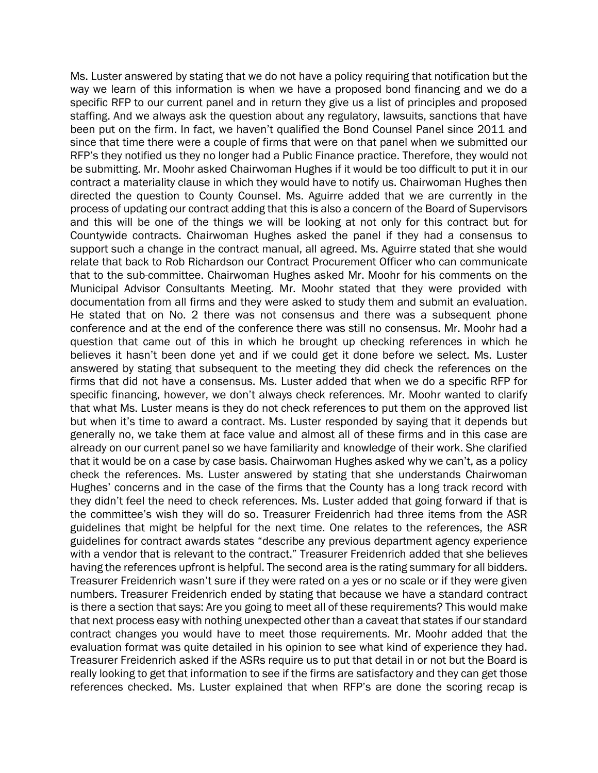Ms. Luster answered by stating that we do not have a policy requiring that notification but the way we learn of this information is when we have a proposed bond financing and we do a specific RFP to our current panel and in return they give us a list of principles and proposed staffing. And we always ask the question about any regulatory, lawsuits, sanctions that have been put on the firm. In fact, we haven't qualified the Bond Counsel Panel since 2011 and since that time there were a couple of firms that were on that panel when we submitted our RFP's they notified us they no longer had a Public Finance practice. Therefore, they would not be submitting. Mr. Moohr asked Chairwoman Hughes if it would be too difficult to put it in our contract a materiality clause in which they would have to notify us. Chairwoman Hughes then directed the question to County Counsel. Ms. Aguirre added that we are currently in the process of updating our contract adding that this is also a concern of the Board of Supervisors and this will be one of the things we will be looking at not only for this contract but for Countywide contracts. Chairwoman Hughes asked the panel if they had a consensus to support such a change in the contract manual, all agreed. Ms. Aguirre stated that she would relate that back to Rob Richardson our Contract Procurement Officer who can communicate that to the sub-committee. Chairwoman Hughes asked Mr. Moohr for his comments on the Municipal Advisor Consultants Meeting. Mr. Moohr stated that they were provided with documentation from all firms and they were asked to study them and submit an evaluation. He stated that on No. 2 there was not consensus and there was a subsequent phone conference and at the end of the conference there was still no consensus. Mr. Moohr had a question that came out of this in which he brought up checking references in which he believes it hasn't been done yet and if we could get it done before we select. Ms. Luster answered by stating that subsequent to the meeting they did check the references on the firms that did not have a consensus. Ms. Luster added that when we do a specific RFP for specific financing, however, we don't always check references. Mr. Moohr wanted to clarify that what Ms. Luster means is they do not check references to put them on the approved list but when it's time to award a contract. Ms. Luster responded by saying that it depends but generally no, we take them at face value and almost all of these firms and in this case are already on our current panel so we have familiarity and knowledge of their work. She clarified that it would be on a case by case basis. Chairwoman Hughes asked why we can't, as a policy check the references. Ms. Luster answered by stating that she understands Chairwoman Hughes' concerns and in the case of the firms that the County has a long track record with they didn't feel the need to check references. Ms. Luster added that going forward if that is the committee's wish they will do so. Treasurer Freidenrich had three items from the ASR guidelines that might be helpful for the next time. One relates to the references, the ASR guidelines for contract awards states "describe any previous department agency experience with a vendor that is relevant to the contract." Treasurer Freidenrich added that she believes having the references upfront is helpful. The second area is the rating summary for all bidders. Treasurer Freidenrich wasn't sure if they were rated on a yes or no scale or if they were given numbers. Treasurer Freidenrich ended by stating that because we have a standard contract is there a section that says: Are you going to meet all of these requirements? This would make that next process easy with nothing unexpected other than a caveat that states if our standard contract changes you would have to meet those requirements. Mr. Moohr added that the evaluation format was quite detailed in his opinion to see what kind of experience they had. Treasurer Freidenrich asked if the ASRs require us to put that detail in or not but the Board is really looking to get that information to see if the firms are satisfactory and they can get those references checked. Ms. Luster explained that when RFP's are done the scoring recap is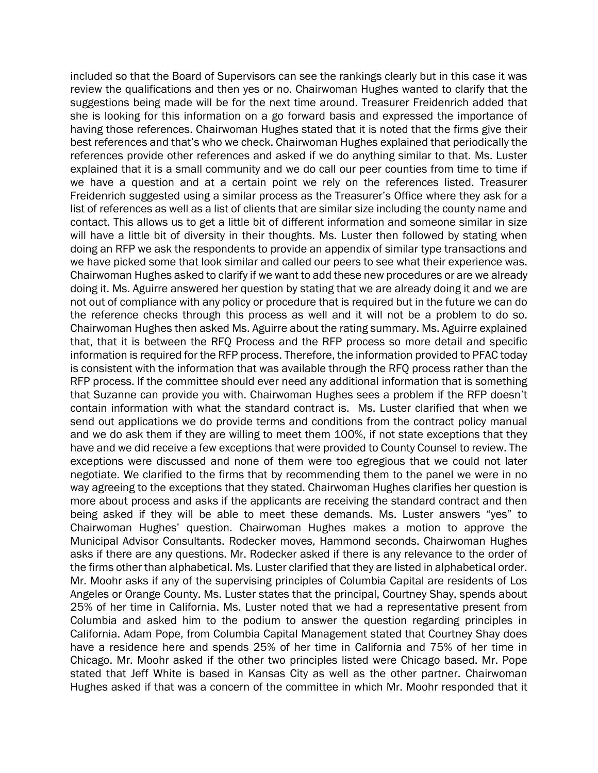included so that the Board of Supervisors can see the rankings clearly but in this case it was review the qualifications and then yes or no. Chairwoman Hughes wanted to clarify that the suggestions being made will be for the next time around. Treasurer Freidenrich added that she is looking for this information on a go forward basis and expressed the importance of having those references. Chairwoman Hughes stated that it is noted that the firms give their best references and that's who we check. Chairwoman Hughes explained that periodically the references provide other references and asked if we do anything similar to that. Ms. Luster explained that it is a small community and we do call our peer counties from time to time if we have a question and at a certain point we rely on the references listed. Treasurer Freidenrich suggested using a similar process as the Treasurer's Office where they ask for a list of references as well as a list of clients that are similar size including the county name and contact. This allows us to get a little bit of different information and someone similar in size will have a little bit of diversity in their thoughts. Ms. Luster then followed by stating when doing an RFP we ask the respondents to provide an appendix of similar type transactions and we have picked some that look similar and called our peers to see what their experience was. Chairwoman Hughes asked to clarify if we want to add these new procedures or are we already doing it. Ms. Aguirre answered her question by stating that we are already doing it and we are not out of compliance with any policy or procedure that is required but in the future we can do the reference checks through this process as well and it will not be a problem to do so. Chairwoman Hughes then asked Ms. Aguirre about the rating summary. Ms. Aguirre explained that, that it is between the RFQ Process and the RFP process so more detail and specific information is required for the RFP process. Therefore, the information provided to PFAC today is consistent with the information that was available through the RFQ process rather than the RFP process. If the committee should ever need any additional information that is something that Suzanne can provide you with. Chairwoman Hughes sees a problem if the RFP doesn't contain information with what the standard contract is. Ms. Luster clarified that when we send out applications we do provide terms and conditions from the contract policy manual and we do ask them if they are willing to meet them 100%, if not state exceptions that they have and we did receive a few exceptions that were provided to County Counsel to review. The exceptions were discussed and none of them were too egregious that we could not later negotiate. We clarified to the firms that by recommending them to the panel we were in no way agreeing to the exceptions that they stated. Chairwoman Hughes clarifies her question is more about process and asks if the applicants are receiving the standard contract and then being asked if they will be able to meet these demands. Ms. Luster answers "yes" to Chairwoman Hughes' question. Chairwoman Hughes makes a motion to approve the Municipal Advisor Consultants. Rodecker moves, Hammond seconds. Chairwoman Hughes asks if there are any questions. Mr. Rodecker asked if there is any relevance to the order of the firms other than alphabetical. Ms. Luster clarified that they are listed in alphabetical order. Mr. Moohr asks if any of the supervising principles of Columbia Capital are residents of Los Angeles or Orange County. Ms. Luster states that the principal, Courtney Shay, spends about 25% of her time in California. Ms. Luster noted that we had a representative present from Columbia and asked him to the podium to answer the question regarding principles in California. Adam Pope, from Columbia Capital Management stated that Courtney Shay does have a residence here and spends 25% of her time in California and 75% of her time in Chicago. Mr. Moohr asked if the other two principles listed were Chicago based. Mr. Pope stated that Jeff White is based in Kansas City as well as the other partner. Chairwoman Hughes asked if that was a concern of the committee in which Mr. Moohr responded that it